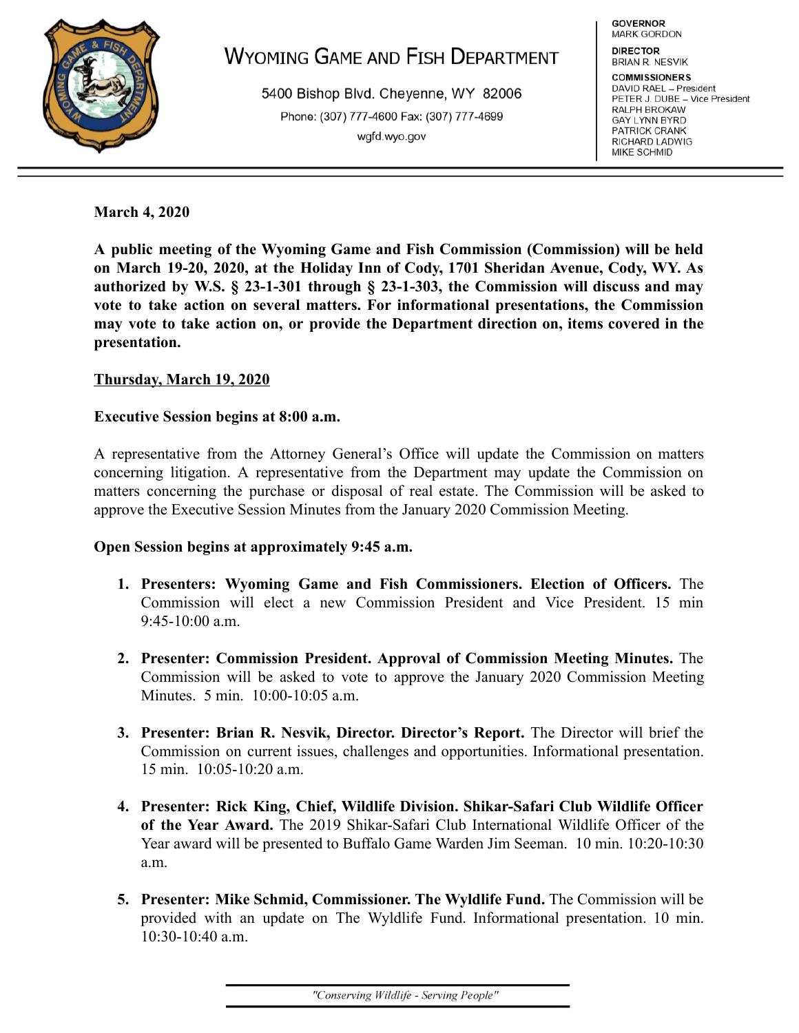

# **WYOMING GAME AND FISH DEPARTMENT**

5400 Bishop Blvd. Cheyenne, WY 82006 Phone: (307) 777-4600 Fax: (307) 777-4699 wgfd.wyo.gov

**GOVERNOR** MARK GORDON

**DIRECTOR BRIAN R. NESVIK** 

**COMMISSIONERS** DAVID RAEL - President PETER J. DUBE - Vice President RALPH BROKAW **GAY LYNN BYRD** PATRICK CRANK RICHARD LADWIG MIKE SCHMID

**March 4, 2020** 

**A public meeting of the Wyoming Game and Fish Commission (Commission) will be held on March 19-20, 2020, at the Holiday Inn of Cody, 1701 Sheridan Avenue, Cody, WY. As authorized by W.S. § 23-1-301 through § 23-1-303, the Commission will discuss and may vote to take action on several matters. For informational presentations, the Commission may vote to take action on, or provide the Department direction on, items covered in the presentation.** 

# **Thursday, March 19, 2020**

## **Executive Session begins at 8:00 a.m.**

A representative from the Attorney General's Office will update the Commission on matters concerning litigation. A representative from the Department may update the Commission on matters concerning the purchase or disposal of real estate. The Commission will be asked to approve the Executive Session Minutes from the January 2020 Commission Meeting.

## **Open Session begins at approximately 9:45 a.m.**

- **1. Presenters: Wyoming Game and Fish Commissioners. Election of Officers.** The Commission will elect a new Commission President and Vice President. 15 min  $9:45-10:00$  a.m.
- **2. Presenter: Commission President. Approval of Commission Meeting Minutes.** The Commission will be asked to vote to approve the January 2020 Commission Meeting Minutes. 5 min. 10:00-10:05 a.m.
- **3. Presenter: Brian R. Nesvik, Director. Director's Report.** The Director will brief the Commission on current issues, challenges and opportunities. Informational presentation. 15 min. 10:05-10:20 a.m.
- **4. Presenter: Rick King, Chief, Wildlife Division. Shikar-Safari Club Wildlife Officer of the Year Award.** The 2019 Shikar-Safari Club International Wildlife Officer of the Year award will be presented to Buffalo Game Warden Jim Seeman. 10 min. 10:20-10:30 a.m.
- **5. Presenter: Mike Schmid, Commissioner. The Wyldlife Fund.** The Commission will be provided with an update on The Wyldlife Fund. Informational presentation. 10 min. 10:30-10:40 a.m.

"Conserving Wildlife - Serving People"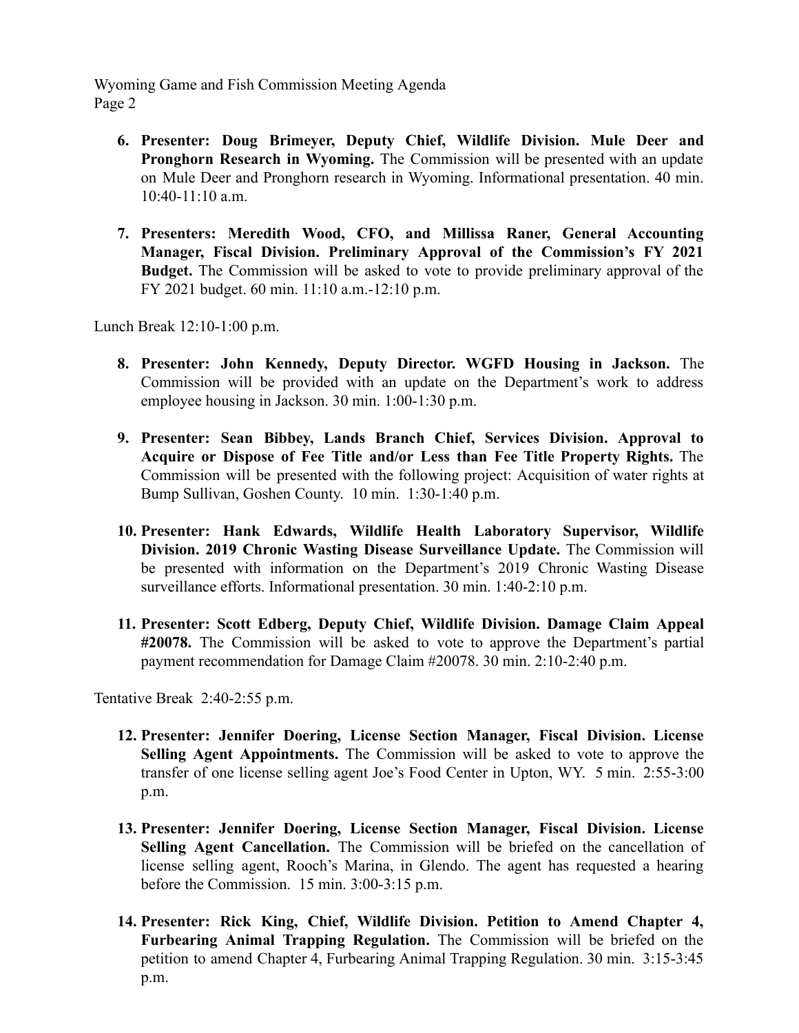Wyoming Game and Fish Commission Meeting Agenda Page 2

- **6. Presenter: Doug Brimeyer, Deputy Chief, Wildlife Division. Mule Deer and Pronghorn Research in Wyoming.** The Commission will be presented with an update on Mule Deer and Pronghorn research in Wyoming. Informational presentation. 40 min.  $10:40-11:10$  a.m.
- **7. Presenters: Meredith Wood, CFO, and Millissa Raner, General Accounting Manager, Fiscal Division. Preliminary Approval of the Commission's FY 2021 Budget.** The Commission will be asked to vote to provide preliminary approval of the FY 2021 budget. 60 min. 11:10 a.m.-12:10 p.m.

Lunch Break 12:10-1:00 p.m.

- **8. Presenter: John Kennedy, Deputy Director. WGFD Housing in Jackson.** The Commission will be provided with an update on the Department's work to address employee housing in Jackson. 30 min. 1:00-1:30 p.m.
- **9. Presenter: Sean Bibbey, Lands Branch Chief, Services Division. Approval to Acquire or Dispose of Fee Title and/or Less than Fee Title Property Rights.** The Commission will be presented with the following project: Acquisition of water rights at Bump Sullivan, Goshen County. 10 min. 1:30-1:40 p.m.
- **10. Presenter: Hank Edwards, Wildlife Health Laboratory Supervisor, Wildlife Division. 2019 Chronic Wasting Disease Surveillance Update.** The Commission will be presented with information on the Department's 2019 Chronic Wasting Disease surveillance efforts. Informational presentation. 30 min. 1:40-2:10 p.m.
- **11. Presenter: Scott Edberg, Deputy Chief, Wildlife Division. Damage Claim Appeal #20078.** The Commission will be asked to vote to approve the Department's partial payment recommendation for Damage Claim #20078. 30 min. 2:10-2:40 p.m.

Tentative Break 2:40-2:55 p.m.

- **12. Presenter: Jennifer Doering, License Section Manager, Fiscal Division. License Selling Agent Appointments.** The Commission will be asked to vote to approve the transfer of one license selling agent Joe's Food Center in Upton, WY. 5 min. 2:55-3:00 p.m.
- **13. Presenter: Jennifer Doering, License Section Manager, Fiscal Division. License Selling Agent Cancellation.** The Commission will be briefed on the cancellation of license selling agent, Rooch's Marina, in Glendo. The agent has requested a hearing before the Commission. 15 min. 3:00-3:15 p.m.
- **14. Presenter: Rick King, Chief, Wildlife Division. Petition to Amend Chapter 4, Furbearing Animal Trapping Regulation.** The Commission will be briefed on the petition to amend Chapter 4, Furbearing Animal Trapping Regulation. 30 min. 3:15-3:45 p.m.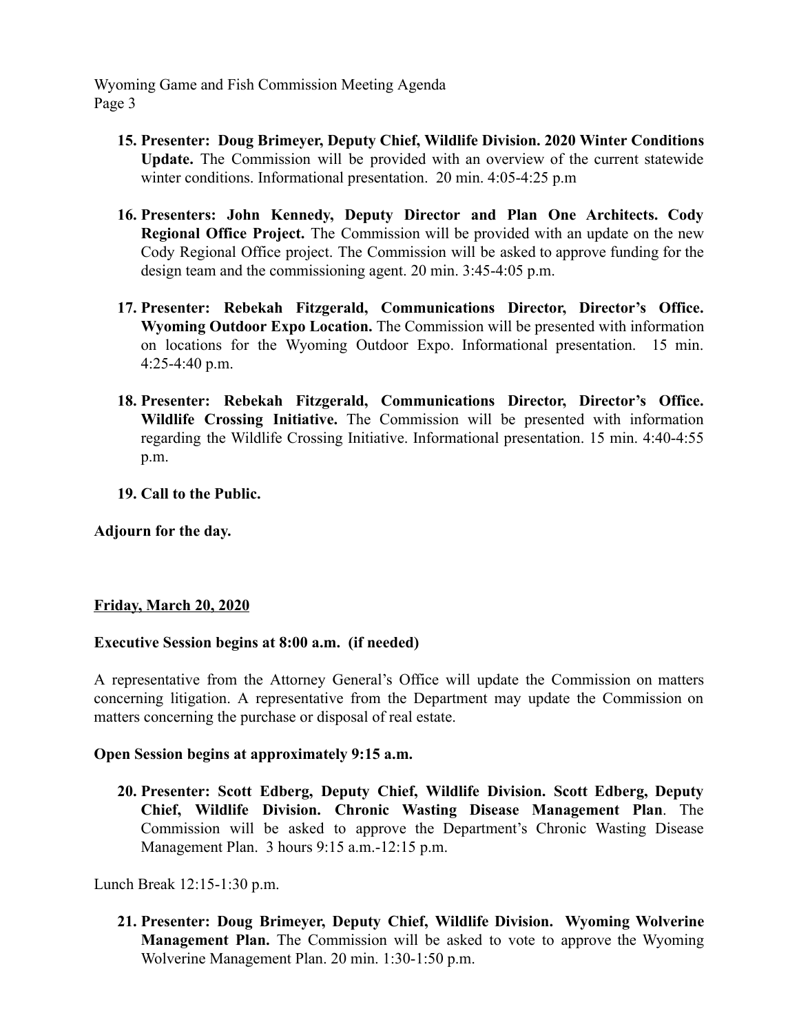Wyoming Game and Fish Commission Meeting Agenda Page 3

- **15. Presenter: Doug Brimeyer, Deputy Chief, Wildlife Division. 2020 Winter Conditions Update.** The Commission will be provided with an overview of the current statewide winter conditions. Informational presentation. 20 min. 4:05-4:25 p.m
- **16. Presenters: John Kennedy, Deputy Director and Plan One Architects. Cody Regional Office Project.** The Commission will be provided with an update on the new Cody Regional Office project. The Commission will be asked to approve funding for the design team and the commissioning agent. 20 min. 3:45-4:05 p.m.
- **17. Presenter: Rebekah Fitzgerald, Communications Director, Director's Office. Wyoming Outdoor Expo Location.** The Commission will be presented with information on locations for the Wyoming Outdoor Expo. Informational presentation. 15 min. 4:25-4:40 p.m.
- **18. Presenter: Rebekah Fitzgerald, Communications Director, Director's Office. Wildlife Crossing Initiative.** The Commission will be presented with information regarding the Wildlife Crossing Initiative. Informational presentation. 15 min. 4:40-4:55 p.m.
- **19. Call to the Public.**

**Adjourn for the day.** 

#### **Friday, March 20, 2020**

#### **Executive Session begins at 8:00 a.m. (if needed)**

A representative from the Attorney General's Office will update the Commission on matters concerning litigation. A representative from the Department may update the Commission on matters concerning the purchase or disposal of real estate.

#### **Open Session begins at approximately 9:15 a.m.**

**20. Presenter: Scott Edberg, Deputy Chief, Wildlife Division. Scott Edberg, Deputy Chief, Wildlife Division. Chronic Wasting Disease Management Plan** . The Commission will be asked to approve the Department's Chronic Wasting Disease Management Plan. 3 hours 9:15 a.m.-12:15 p.m.

Lunch Break 12:15-1:30 p.m.

**21. Presenter: Doug Brimeyer, Deputy Chief, Wildlife Division. Wyoming Wolverine Management Plan.** The Commission will be asked to vote to approve the Wyoming Wolverine Management Plan. 20 min. 1:30-1:50 p.m.